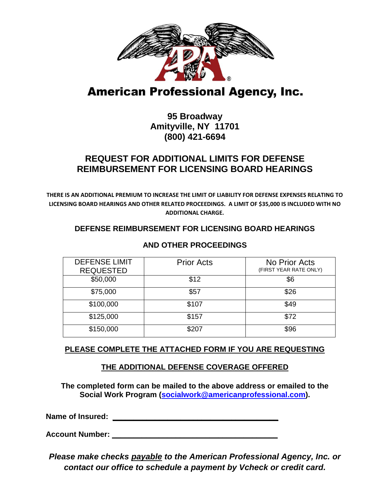

# **American Professional Agency, Inc.**

## **95 Broadway Amityville, NY 11701 (800) 421-6694**

## **REQUEST FOR ADDITIONAL LIMITS FOR DEFENSE REIMBURSEMENT FOR LICENSING BOARD HEARINGS**

**THERE IS AN ADDITIONAL PREMIUM TO INCREASE THE LIMIT OF LIABILITY FOR DEFENSE EXPENSES RELATING TO LICENSING BOARD HEARINGS AND OTHER RELATED PROCEEDINGS. A LIMIT OF \$35,000 IS INCLUDED WITH NO ADDITIONAL CHARGE.**

#### **DEFENSE REIMBURSEMENT FOR LICENSING BOARD HEARINGS**

| <b>DEFENSE LIMIT</b><br><b>REQUESTED</b> | <b>Prior Acts</b> | No Prior Acts<br>(FIRST YEAR RATE ONLY) |
|------------------------------------------|-------------------|-----------------------------------------|
| \$50,000                                 | \$12              | \$6                                     |
| \$75,000                                 | \$57              | \$26                                    |
| \$100,000                                | \$107             | \$49                                    |
| \$125,000                                | \$157             | \$72                                    |
| \$150,000                                | \$207             | \$96                                    |

#### **AND OTHER PROCEEDINGS**

### **PLEASE COMPLETE THE ATTACHED FORM IF YOU ARE REQUESTING**

#### **THE ADDITIONAL DEFENSE COVERAGE OFFERED**

**The completed form can be mailed to the above address or emailed to the Social Work Program (socialwork@americanprofessional.com).** 

**Name of Insured: \_\_\_\_\_\_\_\_\_\_\_\_\_\_\_\_\_\_\_\_\_\_\_\_\_\_\_\_\_\_\_\_\_\_\_\_\_\_\_**

**Account Number: \_\_\_\_\_\_\_\_\_\_\_\_\_\_\_\_\_\_\_\_\_\_\_\_\_\_\_\_\_\_\_\_\_\_\_\_\_\_\_**

*Please make checks payable to the American Professional Agency, Inc. or contact our office to schedule a payment by Vcheck or credit card.*